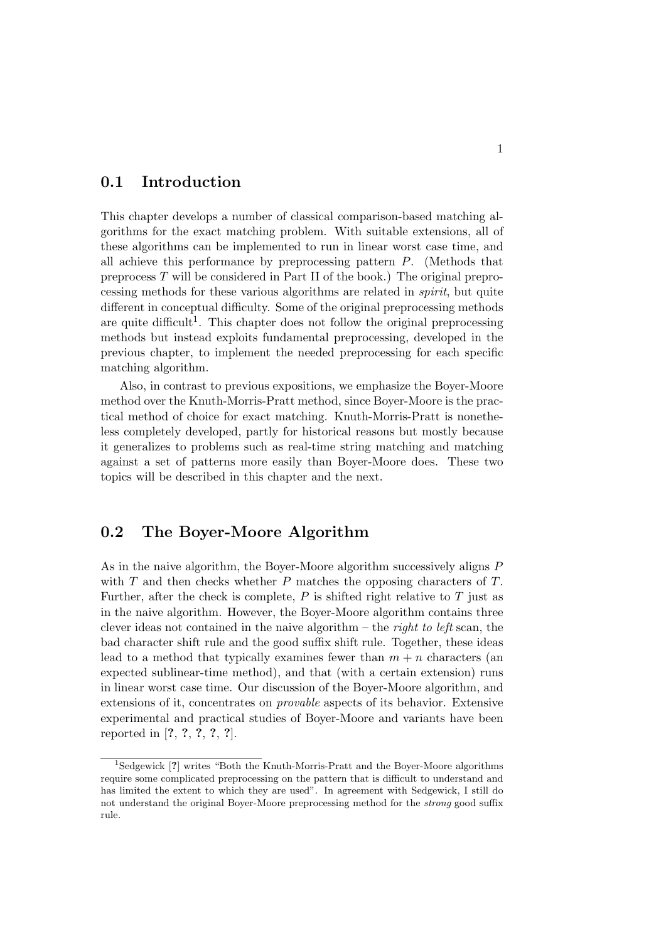# 0.1 Introduction

This chapter develops a number of classical comparison-based matching algorithms for the exact matching problem. With suitable extensions, all of these algorithms can be implemented to run in linear worst case time, and all achieve this performance by preprocessing pattern  $P$ . (Methods that preprocess T will be considered in Part II of the book.) The original preprocessing methods for these various algorithms are related in spirit, but quite different in conceptual difficulty. Some of the original preprocessing methods are quite difficult<sup>1</sup>. This chapter does not follow the original preprocessing methods but instead exploits fundamental preprocessing, developed in the previous chapter, to implement the needed preprocessing for each specific matching algorithm.

Also, in contrast to previous expositions, we emphasize the Boyer-Moore method over the Knuth-Morris-Pratt method, since Boyer-Moore is the practical method of choice for exact matching. Knuth-Morris-Pratt is nonetheless completely developed, partly for historical reasons but mostly because it generalizes to problems such as real-time string matching and matching against a set of patterns more easily than Boyer-Moore does. These two topics will be described in this chapter and the next.

# 0.2 The Boyer-Moore Algorithm

As in the naive algorithm, the Boyer-Moore algorithm successively aligns P with  $T$  and then checks whether  $P$  matches the opposing characters of  $T$ . Further, after the check is complete,  $P$  is shifted right relative to  $T$  just as in the naive algorithm. However, the Boyer-Moore algorithm contains three clever ideas not contained in the naive algorithm – the right to left scan, the bad character shift rule and the good suffix shift rule. Together, these ideas lead to a method that typically examines fewer than  $m + n$  characters (an expected sublinear-time method), and that (with a certain extension) runs in linear worst case time. Our discussion of the Boyer-Moore algorithm, and extensions of it, concentrates on provable aspects of its behavior. Extensive experimental and practical studies of Boyer-Moore and variants have been reported in [?, ?, ?, ?, ?].

<sup>1</sup>Sedgewick [?] writes "Both the Knuth-Morris-Pratt and the Boyer-Moore algorithms require some complicated preprocessing on the pattern that is difficult to understand and has limited the extent to which they are used". In agreement with Sedgewick, I still do not understand the original Boyer-Moore preprocessing method for the *strong* good suffix rule.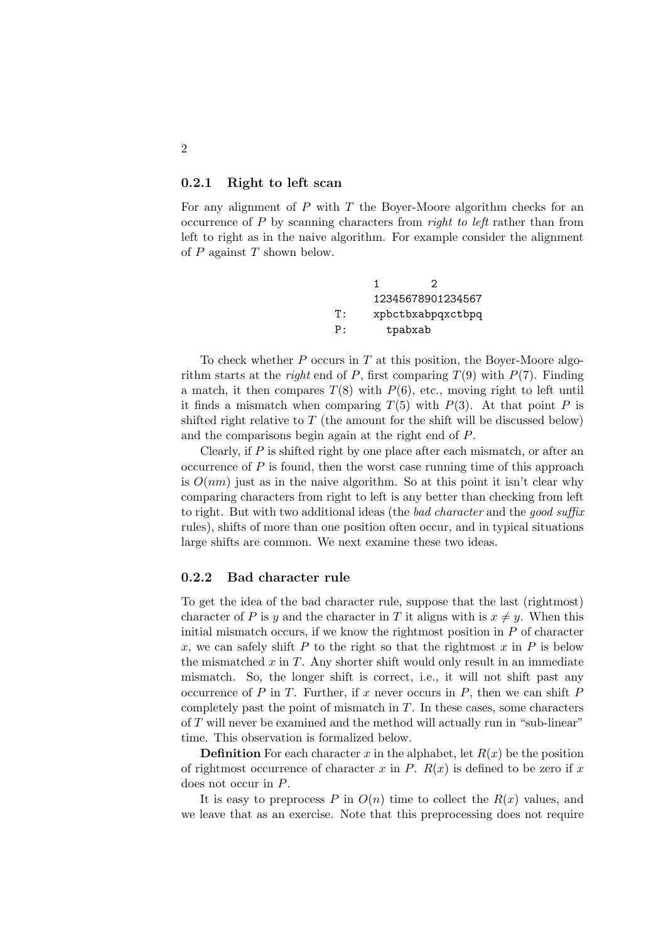## 0.2.1 Right to left scan

For any alignment of  $P$  with  $T$  the Boyer-Moore algorithm checks for an occurrence of  $P$  by scanning characters from *right to left* rather than from left to right as in the naive algorithm. For example consider the alignment of  $P$  against  $T$  shown below.

|    |                   | 2 |
|----|-------------------|---|
|    | 12345678901234567 |   |
| T: | xpbctbxabpqxctbpq |   |
| P: | tpabxab           |   |

To check whether  $P$  occurs in  $T$  at this position, the Boyer-Moore algorithm starts at the *right* end of P, first comparing  $T(9)$  with  $P(7)$ . Finding a match, it then compares  $T(8)$  with  $P(6)$ , etc., moving right to left until it finds a mismatch when comparing  $T(5)$  with  $P(3)$ . At that point P is shifted right relative to  $T$  (the amount for the shift will be discussed below) and the comparisons begin again at the right end of P.

Clearly, if  $P$  is shifted right by one place after each mismatch, or after an occurrence of P is found, then the worst case running time of this approach is  $O(nm)$  just as in the naive algorithm. So at this point it isn't clear why comparing characters from right to left is any better than checking from left to right. But with two additional ideas (the bad character and the good suffix rules), shifts of more than one position often occur, and in typical situations large shifts are common. We next examine these two ideas.

## 0.2.2 Bad character rule

To get the idea of the bad character rule, suppose that the last (rightmost) character of P is y and the character in T it aligns with is  $x \neq y$ . When this initial mismatch occurs, if we know the rightmost position in  $P$  of character x, we can safely shift P to the right so that the rightmost  $x$  in P is below the mismatched  $x$  in  $T$ . Any shorter shift would only result in an immediate mismatch. So, the longer shift is correct, i.e., it will not shift past any occurrence of P in T. Further, if x never occurs in P, then we can shift P completely past the point of mismatch in  $T$ . In these cases, some characters of T will never be examined and the method will actually run in "sub-linear" time. This observation is formalized below.

**Definition** For each character x in the alphabet, let  $R(x)$  be the position of rightmost occurrence of character x in P.  $R(x)$  is defined to be zero if x does not occur in P.

It is easy to preprocess P in  $O(n)$  time to collect the  $R(x)$  values, and we leave that as an exercise. Note that this preprocessing does not require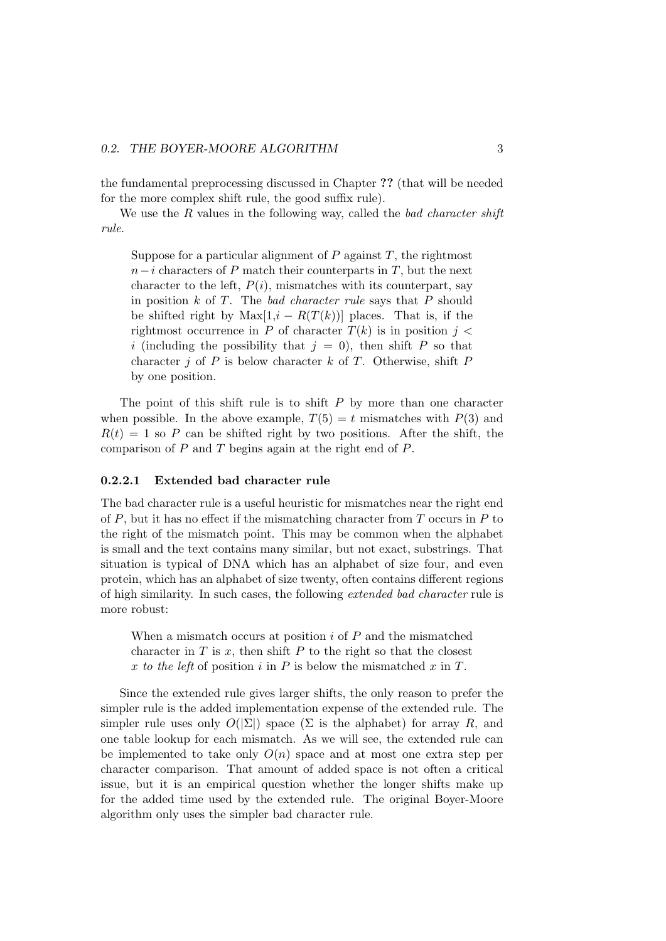the fundamental preprocessing discussed in Chapter ?? (that will be needed for the more complex shift rule, the good suffix rule).

We use the  $R$  values in the following way, called the bad character shift rule.

Suppose for a particular alignment of  $P$  against  $T$ , the rightmost  $n-i$  characters of P match their counterparts in T, but the next character to the left,  $P(i)$ , mismatches with its counterpart, say in position  $k$  of  $T$ . The bad character rule says that  $P$  should be shifted right by  $Max[1,i - R(T(k))]$  places. That is, if the rightmost occurrence in P of character  $T(k)$  is in position  $j <$ i (including the possibility that  $j = 0$ ), then shift P so that character j of  $P$  is below character  $k$  of  $T$ . Otherwise, shift  $P$ by one position.

The point of this shift rule is to shift  $P$  by more than one character when possible. In the above example,  $T(5) = t$  mismatches with  $P(3)$  and  $R(t) = 1$  so P can be shifted right by two positions. After the shift, the comparison of P and T begins again at the right end of P.

#### 0.2.2.1 Extended bad character rule

The bad character rule is a useful heuristic for mismatches near the right end of  $P$ , but it has no effect if the mismatching character from  $T$  occurs in  $P$  to the right of the mismatch point. This may be common when the alphabet is small and the text contains many similar, but not exact, substrings. That situation is typical of DNA which has an alphabet of size four, and even protein, which has an alphabet of size twenty, often contains different regions of high similarity. In such cases, the following extended bad character rule is more robust:

When a mismatch occurs at position  $i$  of  $P$  and the mismatched character in  $T$  is  $x$ , then shift  $P$  to the right so that the closest x to the left of position i in  $P$  is below the mismatched  $x$  in  $T$ .

Since the extended rule gives larger shifts, the only reason to prefer the simpler rule is the added implementation expense of the extended rule. The simpler rule uses only  $O(|\Sigma|)$  space ( $\Sigma$  is the alphabet) for array R, and one table lookup for each mismatch. As we will see, the extended rule can be implemented to take only  $O(n)$  space and at most one extra step per character comparison. That amount of added space is not often a critical issue, but it is an empirical question whether the longer shifts make up for the added time used by the extended rule. The original Boyer-Moore algorithm only uses the simpler bad character rule.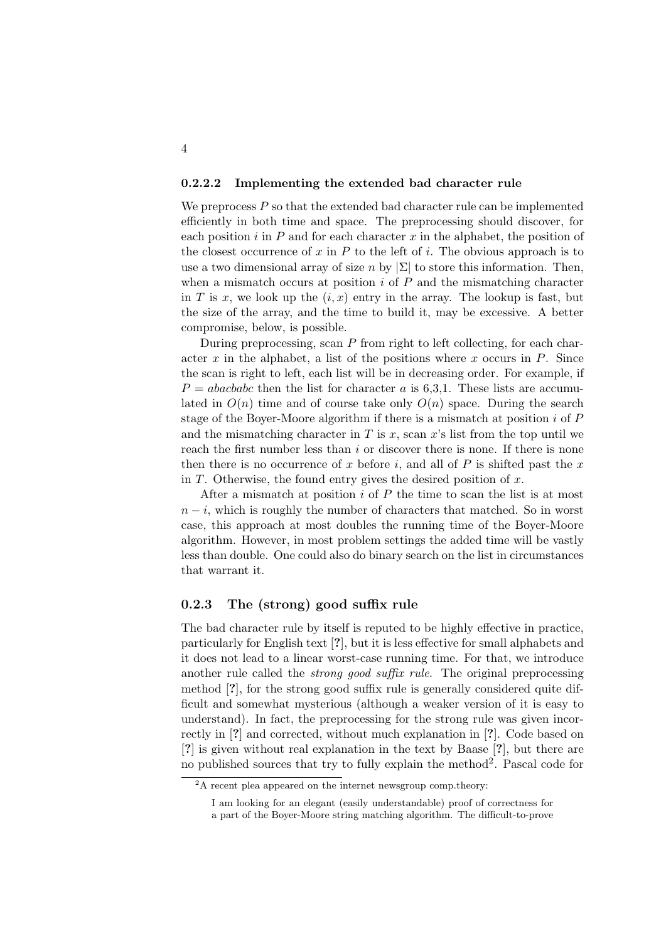## 0.2.2.2 Implementing the extended bad character rule

We preprocess  $P$  so that the extended bad character rule can be implemented efficiently in both time and space. The preprocessing should discover, for each position  $i$  in  $P$  and for each character  $x$  in the alphabet, the position of the closest occurrence of  $x$  in  $P$  to the left of  $i$ . The obvious approach is to use a two dimensional array of size n by  $|\Sigma|$  to store this information. Then, when a mismatch occurs at position  $i$  of  $P$  and the mismatching character in T is x, we look up the  $(i, x)$  entry in the array. The lookup is fast, but the size of the array, and the time to build it, may be excessive. A better compromise, below, is possible.

During preprocessing, scan  $P$  from right to left collecting, for each character x in the alphabet, a list of the positions where x occurs in  $P$ . Since the scan is right to left, each list will be in decreasing order. For example, if  $P = abacbabc$  then the list for character a is 6.3.1. These lists are accumulated in  $O(n)$  time and of course take only  $O(n)$  space. During the search stage of the Boyer-Moore algorithm if there is a mismatch at position  $i$  of  $P$ and the mismatching character in  $T$  is  $x$ , scan  $x$ 's list from the top until we reach the first number less than  $i$  or discover there is none. If there is none then there is no occurrence of x before i, and all of P is shifted past the x in T. Otherwise, the found entry gives the desired position of  $x$ .

After a mismatch at position  $i$  of  $P$  the time to scan the list is at most  $n-i$ , which is roughly the number of characters that matched. So in worst case, this approach at most doubles the running time of the Boyer-Moore algorithm. However, in most problem settings the added time will be vastly less than double. One could also do binary search on the list in circumstances that warrant it.

# 0.2.3 The (strong) good suffix rule

The bad character rule by itself is reputed to be highly effective in practice, particularly for English text [?], but it is less effective for small alphabets and it does not lead to a linear worst-case running time. For that, we introduce another rule called the strong good suffix rule. The original preprocessing method [?], for the strong good suffix rule is generally considered quite difficult and somewhat mysterious (although a weaker version of it is easy to understand). In fact, the preprocessing for the strong rule was given incorrectly in [?] and corrected, without much explanation in [?]. Code based on [?] is given without real explanation in the text by Baase [?], but there are no published sources that try to fully explain the method<sup>2</sup>. Pascal code for

<sup>&</sup>lt;sup>2</sup>A recent plea appeared on the internet newsgroup comp.theory:

I am looking for an elegant (easily understandable) proof of correctness for a part of the Boyer-Moore string matching algorithm. The difficult-to-prove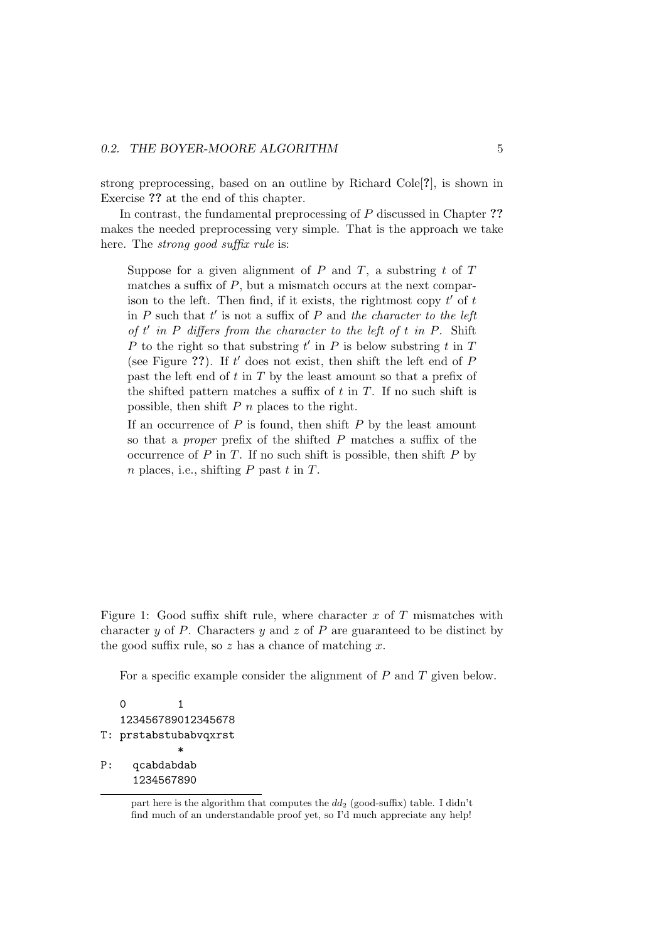strong preprocessing, based on an outline by Richard Cole[?], is shown in Exercise ?? at the end of this chapter.

In contrast, the fundamental preprocessing of  $P$  discussed in Chapter ?? makes the needed preprocessing very simple. That is the approach we take here. The *strong good suffix rule* is:

Suppose for a given alignment of  $P$  and  $T$ , a substring  $t$  of  $T$ matches a suffix of  $P$ , but a mismatch occurs at the next comparison to the left. Then find, if it exists, the rightmost copy  $t'$  of  $t$ in  $P$  such that  $t'$  is not a suffix of  $P$  and the character to the left of  $t'$  in  $P$  differs from the character to the left of  $t$  in  $P$ . Shift P to the right so that substring  $t'$  in P is below substring  $t$  in T (see Figure  $\overline{?}$ ). If t' does not exist, then shift the left end of  $P$ past the left end of  $t$  in  $T$  by the least amount so that a prefix of the shifted pattern matches a suffix of t in  $T$ . If no such shift is possible, then shift  $P$  n places to the right.

If an occurrence of  $P$  is found, then shift  $P$  by the least amount so that a proper prefix of the shifted P matches a suffix of the occurrence of  $P$  in  $T$ . If no such shift is possible, then shift  $P$  by  $n$  places, i.e., shifting  $P$  past  $t$  in  $T$ .

Figure 1: Good suffix shift rule, where character  $x$  of  $T$  mismatches with character y of P. Characters y and z of P are guaranteed to be distinct by the good suffix rule, so z has a chance of matching  $x$ .

For a specific example consider the alignment of P and T given below.

```
0 1
  123456789012345678
T: prstabstubabvqxrst
           *
P: qcabdabdab
    1234567890
```
part here is the algorithm that computes the  $dd_2$  (good-suffix) table. I didn't find much of an understandable proof yet, so I'd much appreciate any help!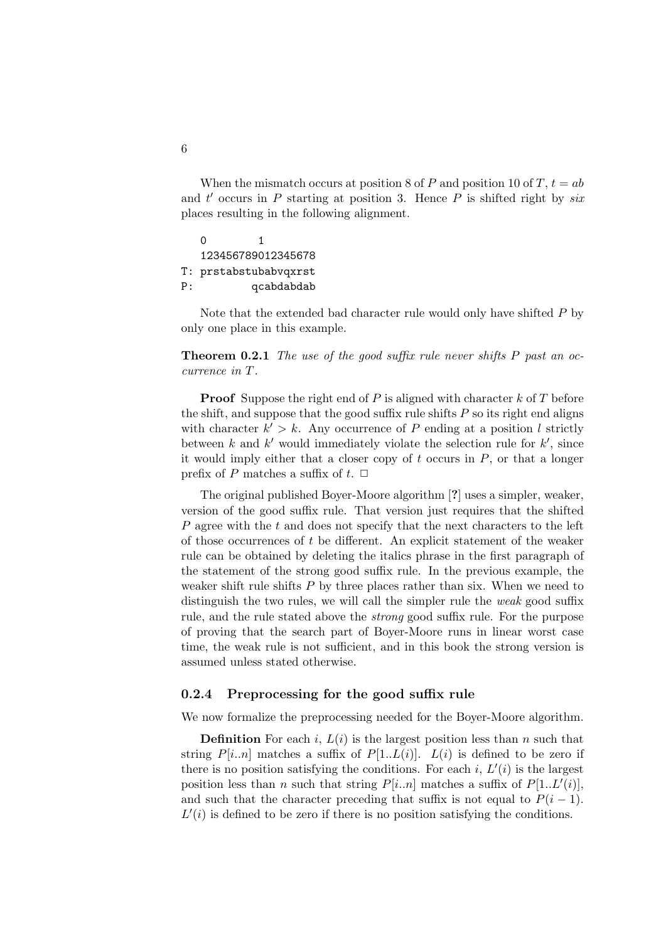When the mismatch occurs at position 8 of P and position 10 of T,  $t = ab$ and  $t'$  occurs in  $P$  starting at position 3. Hence  $P$  is shifted right by six places resulting in the following alignment.

0 1 123456789012345678 T: prstabstubabvqxrst P: qcabdabdab

Note that the extended bad character rule would only have shifted P by only one place in this example.

Theorem 0.2.1 The use of the good suffix rule never shifts P past an occurrence in T.

**Proof** Suppose the right end of P is aligned with character  $k$  of T before the shift, and suppose that the good suffix rule shifts  $P$  so its right end aligns with character  $k' > k$ . Any occurrence of P ending at a position l strictly between  $k$  and  $k'$  would immediately violate the selection rule for  $k'$ , since it would imply either that a closer copy of  $t$  occurs in  $P$ , or that a longer prefix of P matches a suffix of  $t$ .  $\Box$ 

The original published Boyer-Moore algorithm [?] uses a simpler, weaker, version of the good suffix rule. That version just requires that the shifted P agree with the t and does not specify that the next characters to the left of those occurrences of  $t$  be different. An explicit statement of the weaker rule can be obtained by deleting the italics phrase in the first paragraph of the statement of the strong good suffix rule. In the previous example, the weaker shift rule shifts  $P$  by three places rather than six. When we need to distinguish the two rules, we will call the simpler rule the weak good suffix rule, and the rule stated above the strong good suffix rule. For the purpose of proving that the search part of Boyer-Moore runs in linear worst case time, the weak rule is not sufficient, and in this book the strong version is assumed unless stated otherwise.

#### 0.2.4 Preprocessing for the good suffix rule

We now formalize the preprocessing needed for the Boyer-Moore algorithm.

**Definition** For each i,  $L(i)$  is the largest position less than n such that string  $P[i..n]$  matches a suffix of  $P[1..L(i)]$ .  $L(i)$  is defined to be zero if there is no position satisfying the conditions. For each i,  $L'(i)$  is the largest position less than n such that string  $P[i..n]$  matches a suffix of  $P[1..L^{i}(i)]$ , and such that the character preceding that suffix is not equal to  $P(i-1)$ .  $L'(i)$  is defined to be zero if there is no position satisfying the conditions.

6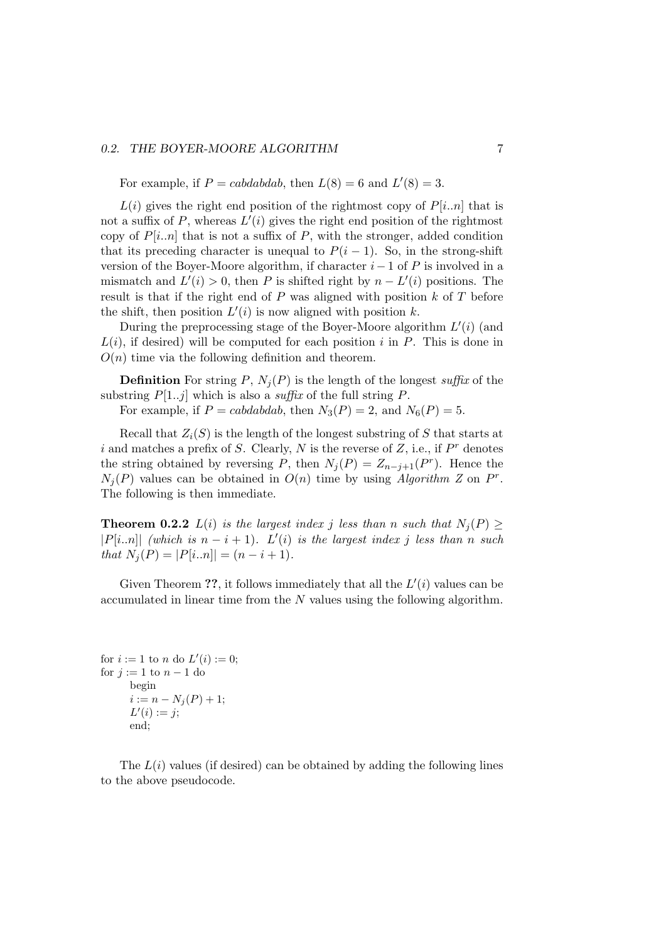#### 0.2. THE BOYER-MOORE ALGORITHM  $7$

For example, if  $P = cabdabdab$ , then  $L(8) = 6$  and  $L'(8) = 3$ .

 $L(i)$  gives the right end position of the rightmost copy of  $P[i..n]$  that is not a suffix of P, whereas  $L'(i)$  gives the right end position of the rightmost copy of  $P[i..n]$  that is not a suffix of P, with the stronger, added condition that its preceding character is unequal to  $P(i-1)$ . So, in the strong-shift version of the Boyer-Moore algorithm, if character  $i-1$  of P is involved in a mismatch and  $L'(i) > 0$ , then P is shifted right by  $n - L'(i)$  positions. The result is that if the right end of  $P$  was aligned with position  $k$  of  $T$  before the shift, then position  $L'(i)$  is now aligned with position k.

During the preprocessing stage of the Boyer-Moore algorithm  $L'(i)$  (and  $L(i)$ , if desired) will be computed for each position i in P. This is done in  $O(n)$  time via the following definition and theorem.

**Definition** For string P,  $N_j(P)$  is the length of the longest suffix of the substring  $P[1..j]$  which is also a *suffix* of the full string  $P$ .

For example, if  $P = cabdabdab$ , then  $N_3(P) = 2$ , and  $N_6(P) = 5$ .

Recall that  $Z_i(S)$  is the length of the longest substring of S that starts at i and matches a prefix of S. Clearly, N is the reverse of  $Z$ , i.e., if  $P^r$  denotes the string obtained by reversing P, then  $N_j(P) = Z_{n-j+1}(P^r)$ . Hence the  $N_j(P)$  values can be obtained in  $O(n)$  time by using *Algorithm Z* on P<sup>r</sup>. The following is then immediate.

**Theorem 0.2.2**  $L(i)$  is the largest index j less than n such that  $N_i(P) \geq$  $|P[i..n]|$  (which is  $n-i+1$ ).  $L'(i)$  is the largest index j less than n such that  $N_i(P) = |P[i..n]| = (n-i+1).$ 

Given Theorem ??, it follows immediately that all the  $L'(i)$  values can be accumulated in linear time from the N values using the following algorithm.

for  $i := 1$  to n do  $L'(i) := 0$ ; for  $j := 1$  to  $n - 1$  do begin  $i := n - N_j(P) + 1;$  $L'(i) := j;$ end;

The  $L(i)$  values (if desired) can be obtained by adding the following lines to the above pseudocode.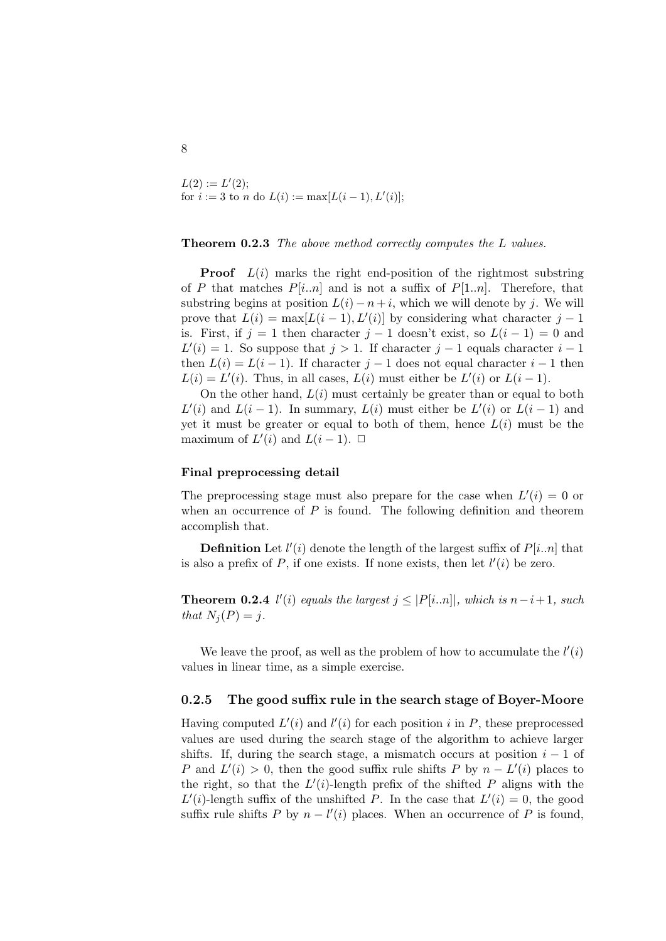$L(2) := L'(2);$ for  $i := 3$  to n do  $L(i) := \max[L(i-1), L'(i)];$ 

#### **Theorem 0.2.3** The above method correctly computes the L values.

**Proof**  $L(i)$  marks the right end-position of the rightmost substring of P that matches  $P[i..n]$  and is not a suffix of  $P[1..n]$ . Therefore, that substring begins at position  $L(i) - n + i$ , which we will denote by j. We will prove that  $\tilde{L}(i) = \max[L(i-1), L'(i)]$  by considering what character  $j-1$ is. First, if  $j = 1$  then character  $j - 1$  doesn't exist, so  $L(i - 1) = 0$  and  $L'(i) = 1$ . So suppose that  $j > 1$ . If character  $j - 1$  equals character  $i - 1$ then  $L(i) = L(i-1)$ . If character j – 1 does not equal character i – 1 then  $L(i) = L'(i)$ . Thus, in all cases,  $L(i)$  must either be  $L'(i)$  or  $L(i-1)$ .

On the other hand,  $L(i)$  must certainly be greater than or equal to both  $L'(i)$  and  $L(i-1)$ . In summary,  $L(i)$  must either be  $L'(i)$  or  $L(i-1)$  and yet it must be greater or equal to both of them, hence  $L(i)$  must be the maximum of  $L(i)$  and  $L(i-1)$ .  $\Box$ 

#### Final preprocessing detail

The preprocessing stage must also prepare for the case when  $L'(i) = 0$  or when an occurrence of  $P$  is found. The following definition and theorem accomplish that.

**Definition** Let  $l'(i)$  denote the length of the largest suffix of  $P[i..n]$  that is also a prefix of P, if one exists. If none exists, then let  $l'(i)$  be zero.

**Theorem 0.2.4**  $l'(i)$  equals the largest  $j \leq |P[i..n]|$ , which is  $n-i+1$ , such that  $N_j(P) = j$ .

We leave the proof, as well as the problem of how to accumulate the  $l'(i)$ values in linear time, as a simple exercise.

#### 0.2.5 The good suffix rule in the search stage of Boyer-Moore

Having computed  $L'(i)$  and  $l'(i)$  for each position i in P, these preprocessed values are used during the search stage of the algorithm to achieve larger shifts. If, during the search stage, a mismatch occurs at position  $i - 1$  of P and  $L'(i) > 0$ , then the good suffix rule shifts P by  $n - L'(i)$  places to the right, so that the  $L'(i)$ -length prefix of the shifted P aligns with the  $L'(i)$ -length suffix of the unshifted P. In the case that  $L'(i) = 0$ , the good suffix rule shifts P by  $n - l'(i)$  places. When an occurrence of P is found,

8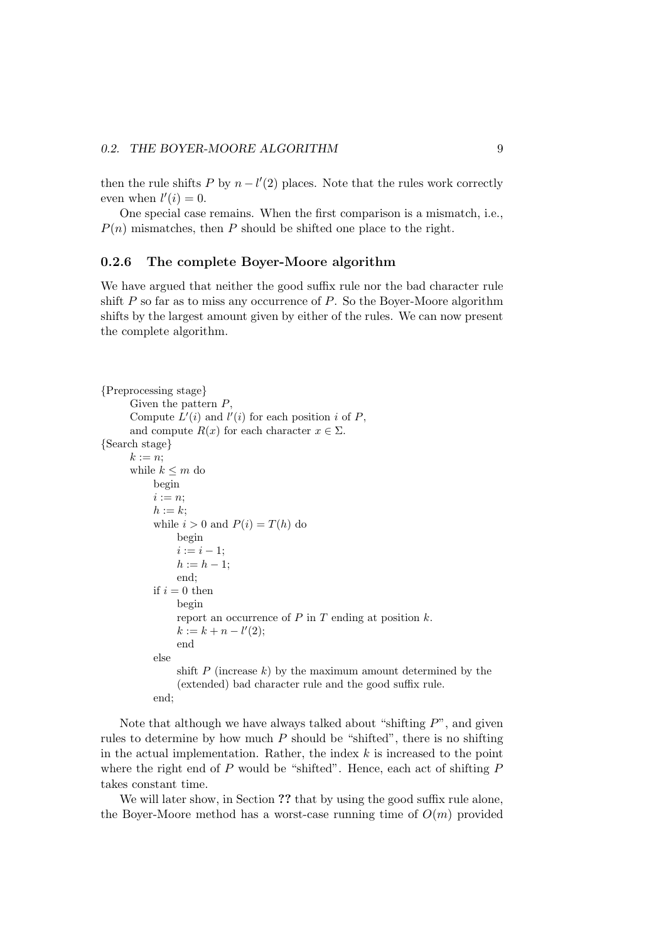then the rule shifts P by  $n - l'(2)$  places. Note that the rules work correctly even when  $l'(i) = 0$ .

One special case remains. When the first comparison is a mismatch, i.e.,  $P(n)$  mismatches, then P should be shifted one place to the right.

#### 0.2.6 The complete Boyer-Moore algorithm

We have argued that neither the good suffix rule nor the bad character rule shift  $P$  so far as to miss any occurrence of  $P$ . So the Boyer-Moore algorithm shifts by the largest amount given by either of the rules. We can now present the complete algorithm.

```
{Preprocessing stage}
     Given the pattern P,
      Compute L'(i) and l'(i) for each position i of P,
     and compute R(x) for each character x \in \Sigma.
{Search stage}
     k := n;while k \leq m do
          begin
          i := n;
          h := k;
          while i > 0 and P(i) = T(h) do
               begin
               i := i - 1;h := h - 1;end;
          if i = 0 then
               begin
               report an occurrence of P in T ending at position k.
                k := k + n - l'(2);end
          else
               shift P (increase k) by the maximum amount determined by the
                (extended) bad character rule and the good suffix rule.
          end;
```
Note that although we have always talked about "shifting  $P$ ", and given rules to determine by how much  $P$  should be "shifted", there is no shifting in the actual implementation. Rather, the index  $k$  is increased to the point where the right end of  $P$  would be "shifted". Hence, each act of shifting  $P$ takes constant time.

We will later show, in Section ?? that by using the good suffix rule alone, the Boyer-Moore method has a worst-case running time of  $O(m)$  provided